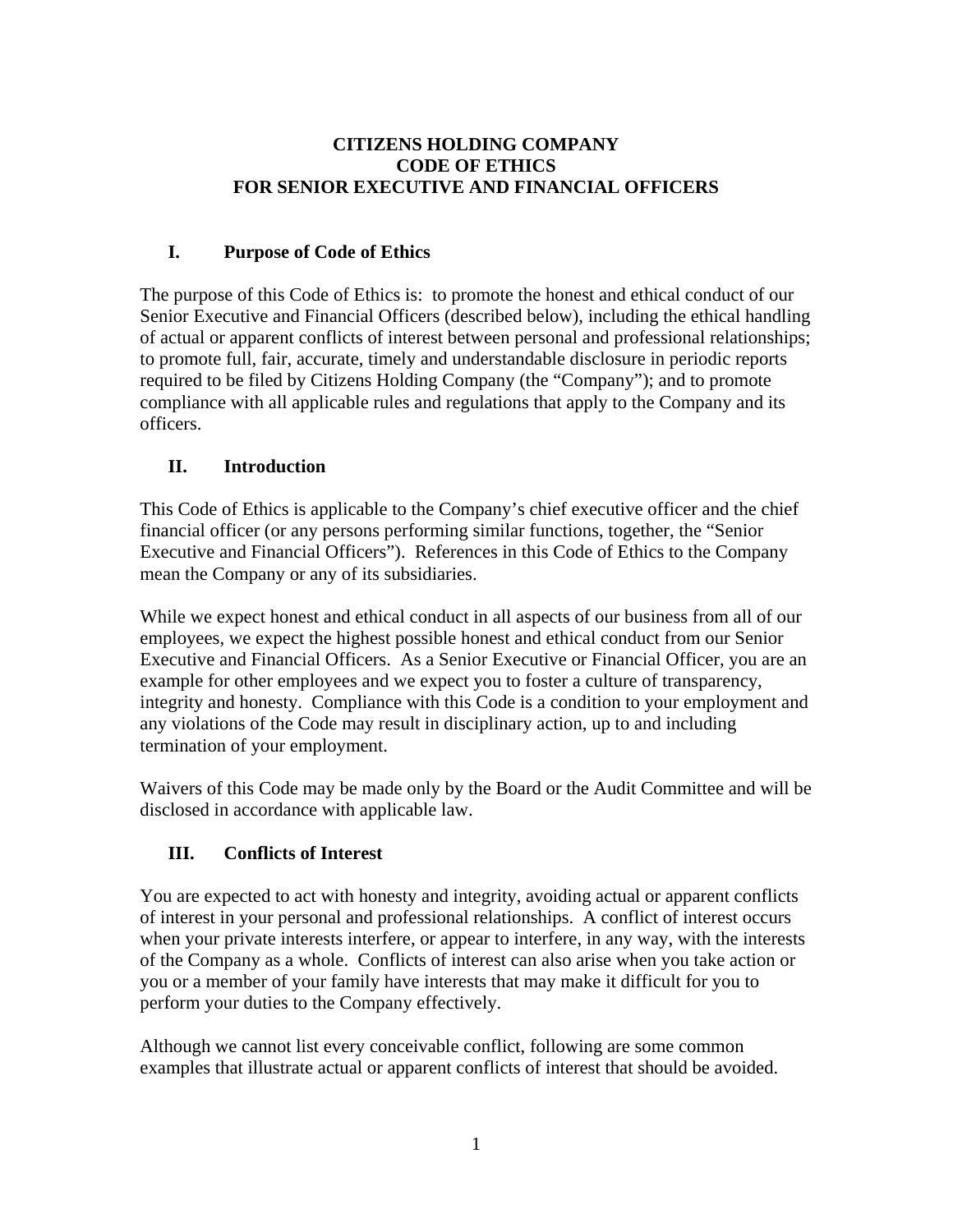## **CITIZENS HOLDING COMPANY CODE OF ETHICS FOR SENIOR EXECUTIVE AND FINANCIAL OFFICERS**

# **I. Purpose of Code of Ethics**

The purpose of this Code of Ethics is: to promote the honest and ethical conduct of our Senior Executive and Financial Officers (described below), including the ethical handling of actual or apparent conflicts of interest between personal and professional relationships; to promote full, fair, accurate, timely and understandable disclosure in periodic reports required to be filed by Citizens Holding Company (the "Company"); and to promote compliance with all applicable rules and regulations that apply to the Company and its officers.

# **II. Introduction**

This Code of Ethics is applicable to the Company's chief executive officer and the chief financial officer (or any persons performing similar functions, together, the "Senior Executive and Financial Officers"). References in this Code of Ethics to the Company mean the Company or any of its subsidiaries.

While we expect honest and ethical conduct in all aspects of our business from all of our employees, we expect the highest possible honest and ethical conduct from our Senior Executive and Financial Officers. As a Senior Executive or Financial Officer, you are an example for other employees and we expect you to foster a culture of transparency, integrity and honesty. Compliance with this Code is a condition to your employment and any violations of the Code may result in disciplinary action, up to and including termination of your employment.

Waivers of this Code may be made only by the Board or the Audit Committee and will be disclosed in accordance with applicable law.

# **III. Conflicts of Interest**

You are expected to act with honesty and integrity, avoiding actual or apparent conflicts of interest in your personal and professional relationships. A conflict of interest occurs when your private interests interfere, or appear to interfere, in any way, with the interests of the Company as a whole. Conflicts of interest can also arise when you take action or you or a member of your family have interests that may make it difficult for you to perform your duties to the Company effectively.

Although we cannot list every conceivable conflict, following are some common examples that illustrate actual or apparent conflicts of interest that should be avoided.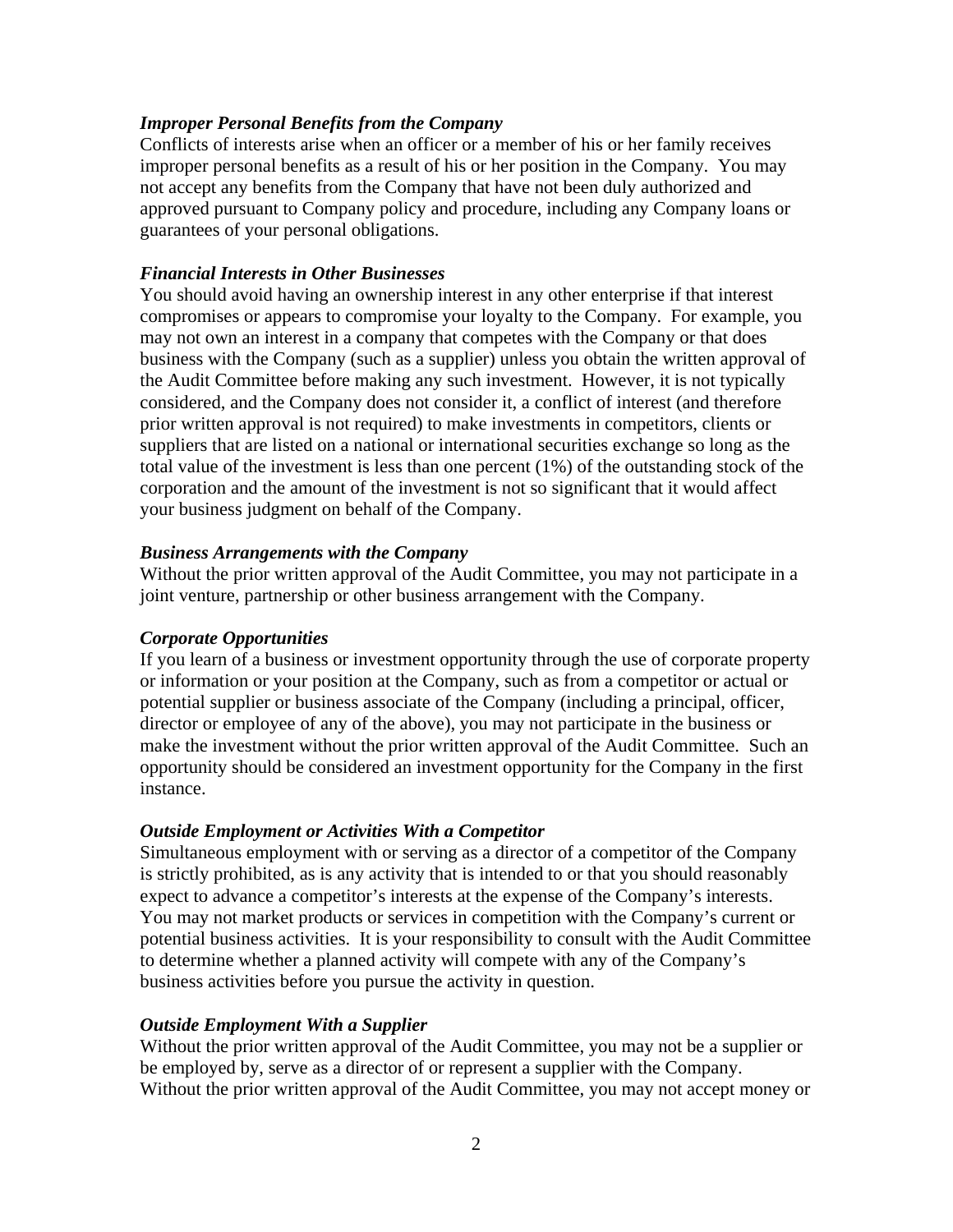#### *Improper Personal Benefits from the Company*

Conflicts of interests arise when an officer or a member of his or her family receives improper personal benefits as a result of his or her position in the Company. You may not accept any benefits from the Company that have not been duly authorized and approved pursuant to Company policy and procedure, including any Company loans or guarantees of your personal obligations.

#### *Financial Interests in Other Businesses*

You should avoid having an ownership interest in any other enterprise if that interest compromises or appears to compromise your loyalty to the Company. For example, you may not own an interest in a company that competes with the Company or that does business with the Company (such as a supplier) unless you obtain the written approval of the Audit Committee before making any such investment. However, it is not typically considered, and the Company does not consider it, a conflict of interest (and therefore prior written approval is not required) to make investments in competitors, clients or suppliers that are listed on a national or international securities exchange so long as the total value of the investment is less than one percent (1%) of the outstanding stock of the corporation and the amount of the investment is not so significant that it would affect your business judgment on behalf of the Company.

#### *Business Arrangements with the Company*

Without the prior written approval of the Audit Committee, you may not participate in a joint venture, partnership or other business arrangement with the Company.

#### *Corporate Opportunities*

If you learn of a business or investment opportunity through the use of corporate property or information or your position at the Company, such as from a competitor or actual or potential supplier or business associate of the Company (including a principal, officer, director or employee of any of the above), you may not participate in the business or make the investment without the prior written approval of the Audit Committee. Such an opportunity should be considered an investment opportunity for the Company in the first instance.

#### *Outside Employment or Activities With a Competitor*

Simultaneous employment with or serving as a director of a competitor of the Company is strictly prohibited, as is any activity that is intended to or that you should reasonably expect to advance a competitor's interests at the expense of the Company's interests. You may not market products or services in competition with the Company's current or potential business activities. It is your responsibility to consult with the Audit Committee to determine whether a planned activity will compete with any of the Company's business activities before you pursue the activity in question.

#### *Outside Employment With a Supplier*

Without the prior written approval of the Audit Committee, you may not be a supplier or be employed by, serve as a director of or represent a supplier with the Company. Without the prior written approval of the Audit Committee, you may not accept money or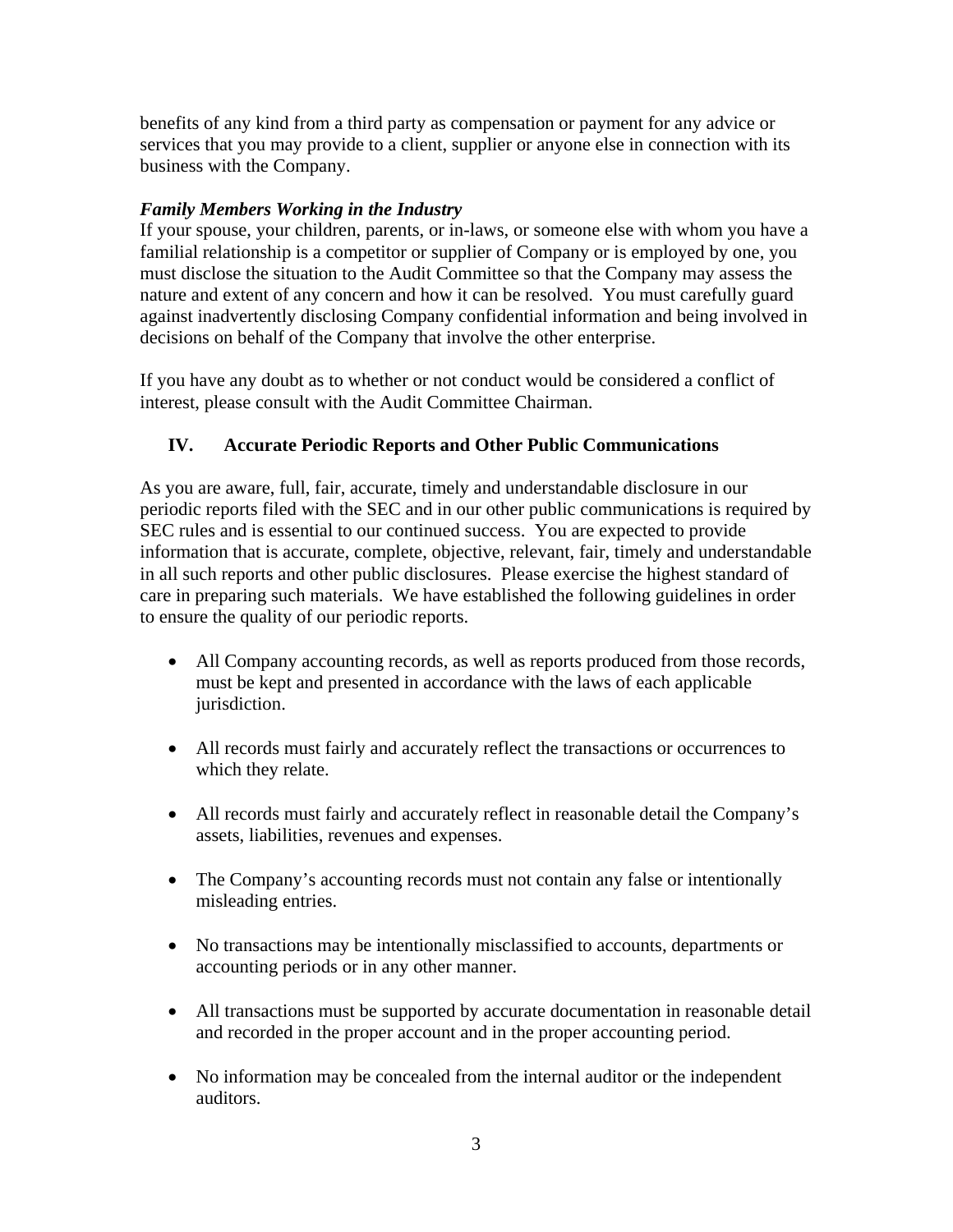benefits of any kind from a third party as compensation or payment for any advice or services that you may provide to a client, supplier or anyone else in connection with its business with the Company.

### *Family Members Working in the Industry*

If your spouse, your children, parents, or in-laws, or someone else with whom you have a familial relationship is a competitor or supplier of Company or is employed by one, you must disclose the situation to the Audit Committee so that the Company may assess the nature and extent of any concern and how it can be resolved. You must carefully guard against inadvertently disclosing Company confidential information and being involved in decisions on behalf of the Company that involve the other enterprise.

If you have any doubt as to whether or not conduct would be considered a conflict of interest, please consult with the Audit Committee Chairman.

# **IV. Accurate Periodic Reports and Other Public Communications**

As you are aware, full, fair, accurate, timely and understandable disclosure in our periodic reports filed with the SEC and in our other public communications is required by SEC rules and is essential to our continued success. You are expected to provide information that is accurate, complete, objective, relevant, fair, timely and understandable in all such reports and other public disclosures. Please exercise the highest standard of care in preparing such materials. We have established the following guidelines in order to ensure the quality of our periodic reports.

- All Company accounting records, as well as reports produced from those records, must be kept and presented in accordance with the laws of each applicable jurisdiction.
- All records must fairly and accurately reflect the transactions or occurrences to which they relate.
- All records must fairly and accurately reflect in reasonable detail the Company's assets, liabilities, revenues and expenses.
- The Company's accounting records must not contain any false or intentionally misleading entries.
- No transactions may be intentionally misclassified to accounts, departments or accounting periods or in any other manner.
- All transactions must be supported by accurate documentation in reasonable detail and recorded in the proper account and in the proper accounting period.
- No information may be concealed from the internal auditor or the independent auditors.